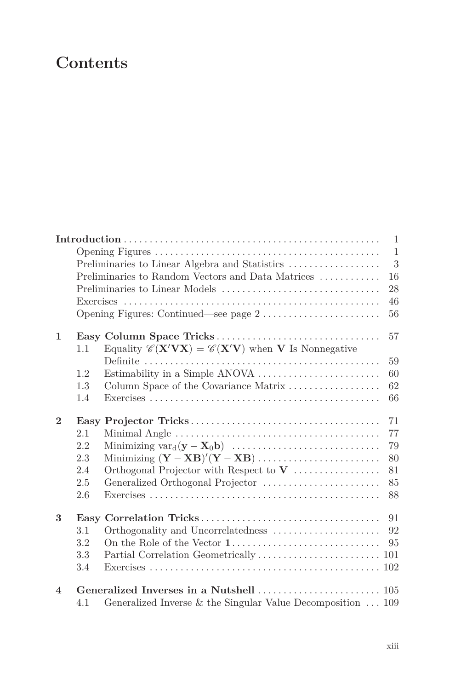## **Contents**

|                         |     |                                                                                                                    | $\mathbf{1}$ |
|-------------------------|-----|--------------------------------------------------------------------------------------------------------------------|--------------|
|                         |     |                                                                                                                    | $\mathbf{1}$ |
|                         |     | Preliminaries to Linear Algebra and Statistics                                                                     | 3            |
|                         |     | Preliminaries to Random Vectors and Data Matrices $\dots\dots\dots\dots$                                           | 16           |
|                         |     |                                                                                                                    | 28           |
|                         |     |                                                                                                                    | 46           |
|                         |     |                                                                                                                    | 56           |
| $\mathbf{1}$            |     |                                                                                                                    | 57           |
|                         | 1.1 | Equality $\mathscr{C}(\mathbf{X}'\mathbf{V}\mathbf{X}) = \mathscr{C}(\mathbf{X}'\mathbf{V})$ when V Is Nonnegative |              |
|                         |     |                                                                                                                    | 59           |
|                         | 1.2 |                                                                                                                    | 60           |
|                         | 1.3 | Column Space of the Covariance Matrix                                                                              | 62           |
|                         | 1.4 |                                                                                                                    | 66           |
| $\mathbf{2}$            |     |                                                                                                                    | 71           |
|                         | 2.1 |                                                                                                                    | 77           |
|                         | 2.2 |                                                                                                                    | 79           |
|                         | 2.3 |                                                                                                                    | 80           |
|                         | 2.4 |                                                                                                                    | 81           |
|                         | 2.5 | Generalized Orthogonal Projector                                                                                   | 85           |
|                         | 2.6 |                                                                                                                    | 88           |
| 3                       |     |                                                                                                                    | 91           |
|                         | 3.1 |                                                                                                                    | 92           |
|                         | 3.2 |                                                                                                                    | 95           |
|                         | 3.3 |                                                                                                                    |              |
|                         | 3.4 |                                                                                                                    |              |
| $\overline{\mathbf{4}}$ |     |                                                                                                                    |              |
|                         | 4.1 | Generalized Inverse $&$ the Singular Value Decomposition $\ldots$ 109                                              |              |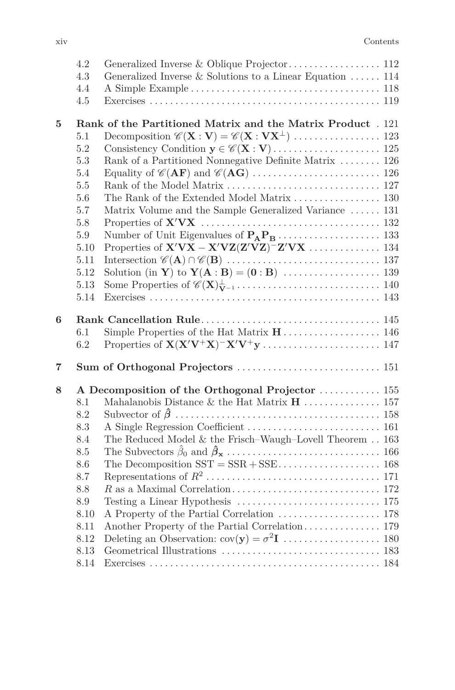|   | 4.2          |                                                              |  |
|---|--------------|--------------------------------------------------------------|--|
|   | 4.3          | Generalized Inverse & Solutions to a Linear Equation  114    |  |
|   | 4.4          |                                                              |  |
|   | 4.5          |                                                              |  |
| 5 |              | Rank of the Partitioned Matrix and the Matrix Product . 121  |  |
|   | 5.1          |                                                              |  |
|   | 5.2          |                                                              |  |
|   | 5.3          | Rank of a Partitioned Nonnegative Definite Matrix  126       |  |
|   | 5.4          |                                                              |  |
|   | 5.5          |                                                              |  |
|   | 5.6          |                                                              |  |
|   | 5.7          | Matrix Volume and the Sample Generalized Variance  131       |  |
|   | $5.8\,$      |                                                              |  |
|   | $5.9\,$      |                                                              |  |
|   | 5.10         |                                                              |  |
|   | 5.11         |                                                              |  |
|   | 5.12         |                                                              |  |
|   | 5.13         |                                                              |  |
|   | 5.14         |                                                              |  |
| 6 |              |                                                              |  |
|   | $6.1\,$      |                                                              |  |
|   | 6.2          |                                                              |  |
|   |              |                                                              |  |
| 7 |              | Sum of Orthogonal Projectors  151                            |  |
| 8 |              | A Decomposition of the Orthogonal Projector  155             |  |
|   | 8.1          |                                                              |  |
|   | 8.2          |                                                              |  |
|   | 8.3          |                                                              |  |
|   | 8.4          | The Reduced Model $\&$ the Frisch–Waugh–Lovell Theorem $163$ |  |
|   | 8.5          |                                                              |  |
|   | 8.6          |                                                              |  |
|   | 8.7          |                                                              |  |
|   |              |                                                              |  |
|   | 8.8          |                                                              |  |
|   | 8.9          |                                                              |  |
|   | 8.10         |                                                              |  |
|   | 8.11         |                                                              |  |
|   | 8.12         |                                                              |  |
|   | 8.13<br>8.14 |                                                              |  |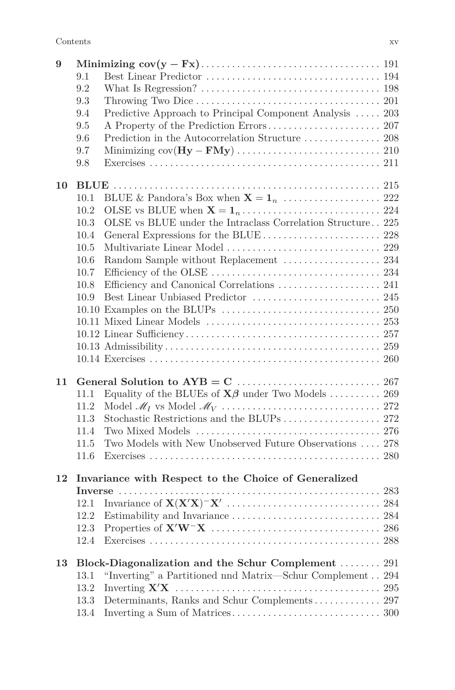| 9  |      |                                                                               |  |
|----|------|-------------------------------------------------------------------------------|--|
|    | 9.1  |                                                                               |  |
|    | 9.2  |                                                                               |  |
|    | 9.3  |                                                                               |  |
|    | 9.4  | Predictive Approach to Principal Component Analysis  203                      |  |
|    | 9.5  |                                                                               |  |
|    | 9.6  |                                                                               |  |
|    | 9.7  |                                                                               |  |
|    | 9.8  |                                                                               |  |
| 10 |      |                                                                               |  |
|    | 10.1 |                                                                               |  |
|    | 10.2 |                                                                               |  |
|    | 10.3 | OLSE vs BLUE under the Intraclass Correlation Structure 225                   |  |
|    | 10.4 |                                                                               |  |
|    | 10.5 |                                                                               |  |
|    | 10.6 |                                                                               |  |
|    | 10.7 |                                                                               |  |
|    | 10.8 |                                                                               |  |
|    | 10.9 |                                                                               |  |
|    |      |                                                                               |  |
|    |      |                                                                               |  |
|    |      |                                                                               |  |
|    |      |                                                                               |  |
|    |      |                                                                               |  |
| 11 |      |                                                                               |  |
|    | 11.1 | Equality of the BLUEs of $\mathbf{X}\boldsymbol{\beta}$ under Two Models  269 |  |
|    | 11.2 |                                                                               |  |
|    | 11.3 |                                                                               |  |
|    | 11.4 |                                                                               |  |
|    | 11.5 | Two Models with New Unobserved Future Observations  278                       |  |
|    | 11.6 |                                                                               |  |
| 12 |      | Invariance with Respect to the Choice of Generalized                          |  |
|    |      |                                                                               |  |
|    | 12.1 |                                                                               |  |
|    | 12.2 |                                                                               |  |
|    | 12.3 |                                                                               |  |
|    | 12.4 |                                                                               |  |
| 13 |      | Block-Diagonalization and the Schur Complement  291                           |  |
|    | 13.1 | "Inverting" a Partitioned nnd Matrix—Schur Complement $294$                   |  |
|    | 13.2 |                                                                               |  |
|    | 13.3 | Determinants, Ranks and Schur Complements 297                                 |  |
|    | 13.4 |                                                                               |  |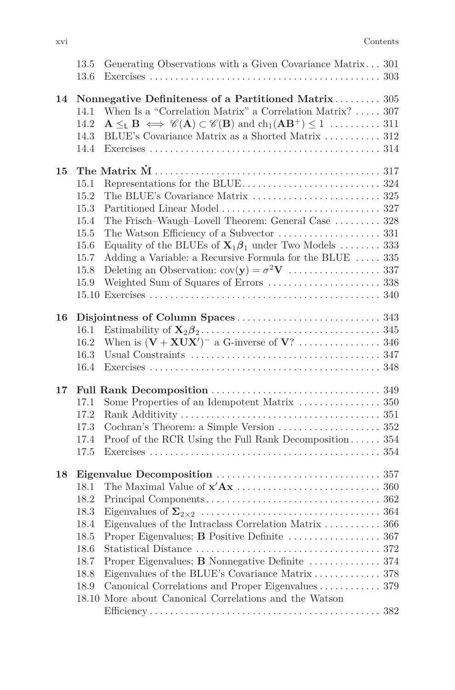|    | 13.5<br>13.6 | Generating Observations with a Given Covariance Matrix 301                                                     |  |
|----|--------------|----------------------------------------------------------------------------------------------------------------|--|
| 14 |              | Nonnegative Definiteness of a Partitioned Matrix 305                                                           |  |
|    | 14.1         | When Is a "Correlation Matrix" a Correlation Matrix?  307                                                      |  |
|    | 14.2         |                                                                                                                |  |
|    | 14.3         | BLUE's Covariance Matrix as a Shorted Matrix  312                                                              |  |
|    | 14.4         |                                                                                                                |  |
| 15 |              |                                                                                                                |  |
|    | 15.1         |                                                                                                                |  |
|    | 15.2         |                                                                                                                |  |
|    | 15.3         |                                                                                                                |  |
|    | 15.4         | The Frisch-Waugh-Lovell Theorem: General Case  328                                                             |  |
|    | 15.5         |                                                                                                                |  |
|    | 15.6         | Equality of the BLUEs of $\mathbf{X}_1 \boldsymbol{\beta}_1$ under Two Models  333                             |  |
|    | 15.7         | Adding a Variable: a Recursive Formula for the BLUE  335                                                       |  |
|    | 15.8         |                                                                                                                |  |
|    | 15.9         |                                                                                                                |  |
|    |              |                                                                                                                |  |
| 16 |              |                                                                                                                |  |
|    | 16.1         | Estimability of $X_2 \beta_2 \ldots \ldots \ldots \ldots \ldots \ldots \ldots \ldots \ldots \ldots \ldots 345$ |  |
|    | 16.2         |                                                                                                                |  |
|    | 16.3         |                                                                                                                |  |
|    | 16.4         |                                                                                                                |  |
| 17 |              |                                                                                                                |  |
|    | 17.1         |                                                                                                                |  |
|    | 17.2         |                                                                                                                |  |
|    | 17.3         |                                                                                                                |  |
|    | 17.4         | Proof of the RCR Using the Full Rank Decomposition 354                                                         |  |
|    | 17.5         |                                                                                                                |  |
| 18 |              |                                                                                                                |  |
|    | 18.1         |                                                                                                                |  |
|    | 18.2         |                                                                                                                |  |
|    | 18.3         |                                                                                                                |  |
|    | 18.4         | Eigenvalues of the Intraclass Correlation Matrix  366                                                          |  |
|    | 18.5         |                                                                                                                |  |
|    | 18.6         |                                                                                                                |  |
|    | 18.7         | Proper Eigenvalues; B Nonnegative Definite  374                                                                |  |
|    | 18.8         |                                                                                                                |  |
|    | 18.9         | Canonical Correlations and Proper Eigenvalues 379                                                              |  |
|    |              | 18.10 More about Canonical Correlations and the Watson                                                         |  |
|    |              |                                                                                                                |  |